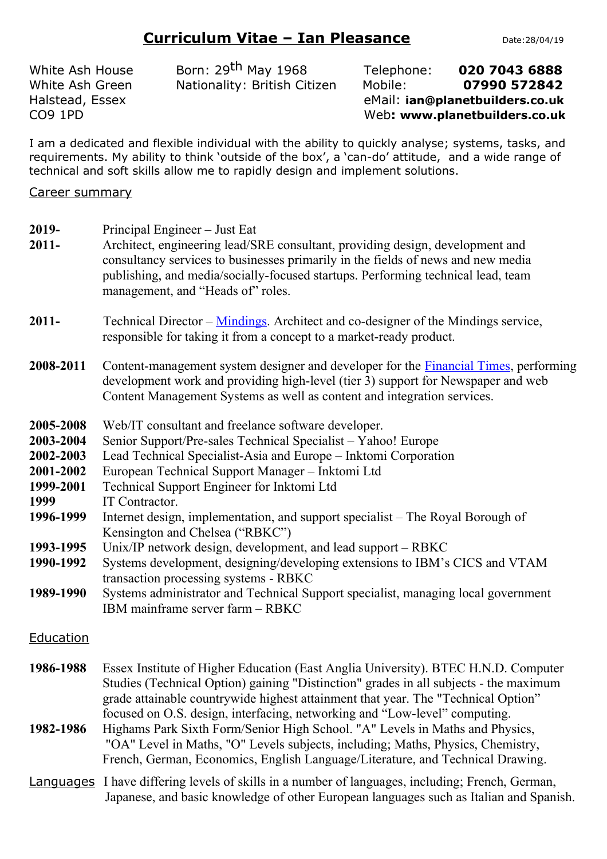# **Curriculum Vitae – Ian Pleasance** Date:28/04/19

White Ash House Born: 29<sup>th</sup> May 1968 Telephone: **020 7043 6888** White Ash Green Nationality: British Citizen Mobile: **07990 572842** Halstead, Essex eMail: **ian@planetbuilders.co.uk** CO9 1PD Web**: www.planetbuilders.co.uk**

I am a dedicated and flexible individual with the ability to quickly analyse; systems, tasks, and requirements. My ability to think 'outside of the box', a 'can-do' attitude, and a wide range of technical and soft skills allow me to rapidly design and implement solutions.

### Career summary

- **2019-** Principal Engineer Just Eat
- **2011-** Architect, engineering lead/SRE consultant, providing design, development and consultancy services to businesses primarily in the fields of news and new media publishing, and media/socially-focused startups. Performing technical lead, team management, and "Heads of" roles.
- **2011-** Technical Director – [Mindings.](http://www.mindings.com/) Architect and co-designer of the Mindings service, responsible for taking it from a concept to a market-ready product.
- 2008-2011 Content-management system designer and developer for the **Financial Times**, performing development work and providing high-level (tier 3) support for Newspaper and web Content Management Systems as well as content and integration services.
- **2005-2008** Web/IT consultant and freelance software developer.
- **2003-2004** Senior Support/Pre-sales Technical Specialist Yahoo! Europe
- **2002-2003** Lead Technical Specialist-Asia and Europe Inktomi Corporation
- **2001-2002** European Technical Support Manager Inktomi Ltd
- **1999-2001** Technical Support Engineer for Inktomi Ltd
- **1999** IT Contractor.
- **1996-1999** Internet design, implementation, and support specialist The Royal Borough of Kensington and Chelsea ("RBKC")
- **1993-1995** Unix/IP network design, development, and lead support RBKC
- **1990-1992** Systems development, designing/developing extensions to IBM's CICS and VTAM transaction processing systems - RBKC
- **1989-1990** Systems administrator and Technical Support specialist, managing local government IBM mainframe server farm – RBKC

Education

- **1986-1988** Essex Institute of Higher Education (East Anglia University). BTEC H.N.D. Computer Studies (Technical Option) gaining "Distinction" grades in all subjects - the maximum grade attainable countrywide highest attainment that year. The "Technical Option" focused on O.S. design, interfacing, networking and "Low-level" computing.
- **1982-1986** Highams Park Sixth Form/Senior High School. "A" Levels in Maths and Physics, "OA" Level in Maths, "O" Levels subjects, including; Maths, Physics, Chemistry, French, German, Economics, English Language/Literature, and Technical Drawing.
- Languages I have differing levels of skills in a number of languages, including; French, German, Japanese, and basic knowledge of other European languages such as Italian and Spanish.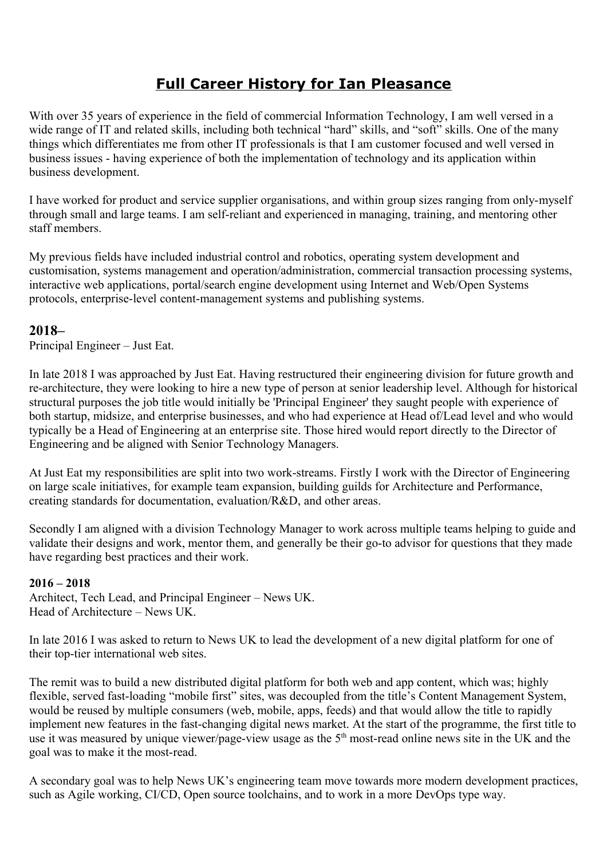# **Full Career History for Ian Pleasance**

With over 35 years of experience in the field of commercial Information Technology, I am well versed in a wide range of IT and related skills, including both technical "hard" skills, and "soft" skills. One of the many things which differentiates me from other IT professionals is that I am customer focused and well versed in business issues - having experience of both the implementation of technology and its application within business development.

I have worked for product and service supplier organisations, and within group sizes ranging from only-myself through small and large teams. I am self-reliant and experienced in managing, training, and mentoring other staff members.

My previous fields have included industrial control and robotics, operating system development and customisation, systems management and operation/administration, commercial transaction processing systems, interactive web applications, portal/search engine development using Internet and Web/Open Systems protocols, enterprise-level content-management systems and publishing systems.

## **2018–**

Principal Engineer – Just Eat.

In late 2018 I was approached by Just Eat. Having restructured their engineering division for future growth and re-architecture, they were looking to hire a new type of person at senior leadership level. Although for historical structural purposes the job title would initially be 'Principal Engineer' they saught people with experience of both startup, midsize, and enterprise businesses, and who had experience at Head of/Lead level and who would typically be a Head of Engineering at an enterprise site. Those hired would report directly to the Director of Engineering and be aligned with Senior Technology Managers.

At Just Eat my responsibilities are split into two work-streams. Firstly I work with the Director of Engineering on large scale initiatives, for example team expansion, building guilds for Architecture and Performance, creating standards for documentation, evaluation/R&D, and other areas.

Secondly I am aligned with a division Technology Manager to work across multiple teams helping to guide and validate their designs and work, mentor them, and generally be their go-to advisor for questions that they made have regarding best practices and their work.

### **2016 – 2018**

Architect, Tech Lead, and Principal Engineer – News UK. Head of Architecture – News UK.

In late 2016 I was asked to return to News UK to lead the development of a new digital platform for one of their top-tier international web sites.

The remit was to build a new distributed digital platform for both web and app content, which was; highly flexible, served fast-loading "mobile first" sites, was decoupled from the title's Content Management System, would be reused by multiple consumers (web, mobile, apps, feeds) and that would allow the title to rapidly implement new features in the fast-changing digital news market. At the start of the programme, the first title to use it was measured by unique viewer/page-view usage as the 5<sup>th</sup> most-read online news site in the UK and the goal was to make it the most-read.

A secondary goal was to help News UK's engineering team move towards more modern development practices, such as Agile working, CI/CD, Open source toolchains, and to work in a more DevOps type way.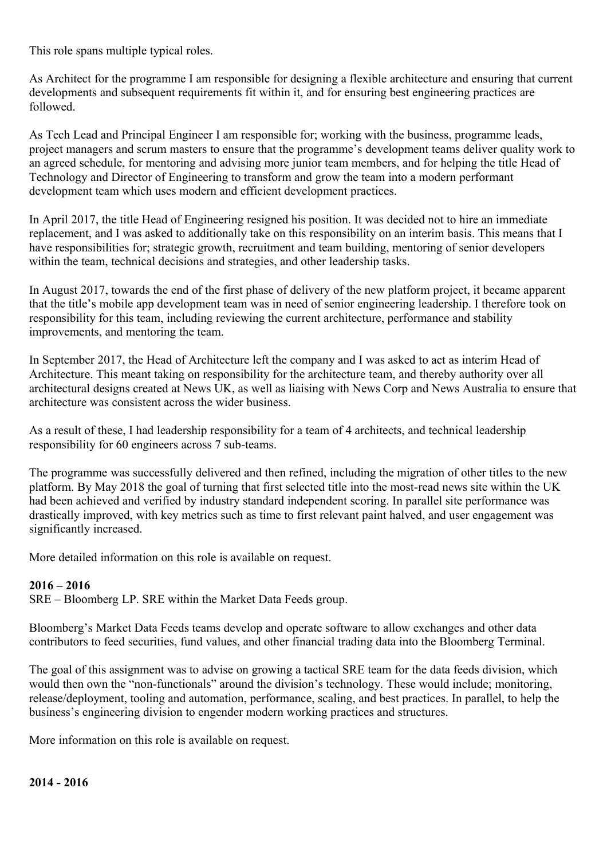This role spans multiple typical roles.

As Architect for the programme I am responsible for designing a flexible architecture and ensuring that current developments and subsequent requirements fit within it, and for ensuring best engineering practices are followed.

As Tech Lead and Principal Engineer I am responsible for; working with the business, programme leads, project managers and scrum masters to ensure that the programme's development teams deliver quality work to an agreed schedule, for mentoring and advising more junior team members, and for helping the title Head of Technology and Director of Engineering to transform and grow the team into a modern performant development team which uses modern and efficient development practices.

In April 2017, the title Head of Engineering resigned his position. It was decided not to hire an immediate replacement, and I was asked to additionally take on this responsibility on an interim basis. This means that I have responsibilities for; strategic growth, recruitment and team building, mentoring of senior developers within the team, technical decisions and strategies, and other leadership tasks.

In August 2017, towards the end of the first phase of delivery of the new platform project, it became apparent that the title's mobile app development team was in need of senior engineering leadership. I therefore took on responsibility for this team, including reviewing the current architecture, performance and stability improvements, and mentoring the team.

In September 2017, the Head of Architecture left the company and I was asked to act as interim Head of Architecture. This meant taking on responsibility for the architecture team, and thereby authority over all architectural designs created at News UK, as well as liaising with News Corp and News Australia to ensure that architecture was consistent across the wider business.

As a result of these, I had leadership responsibility for a team of 4 architects, and technical leadership responsibility for 60 engineers across 7 sub-teams.

The programme was successfully delivered and then refined, including the migration of other titles to the new platform. By May 2018 the goal of turning that first selected title into the most-read news site within the UK had been achieved and verified by industry standard independent scoring. In parallel site performance was drastically improved, with key metrics such as time to first relevant paint halved, and user engagement was significantly increased.

More detailed information on this role is available on request.

### **2016 – 2016**

SRE – Bloomberg LP. SRE within the Market Data Feeds group.

Bloomberg's Market Data Feeds teams develop and operate software to allow exchanges and other data contributors to feed securities, fund values, and other financial trading data into the Bloomberg Terminal.

The goal of this assignment was to advise on growing a tactical SRE team for the data feeds division, which would then own the "non-functionals" around the division's technology. These would include; monitoring, release/deployment, tooling and automation, performance, scaling, and best practices. In parallel, to help the business's engineering division to engender modern working practices and structures.

More information on this role is available on request.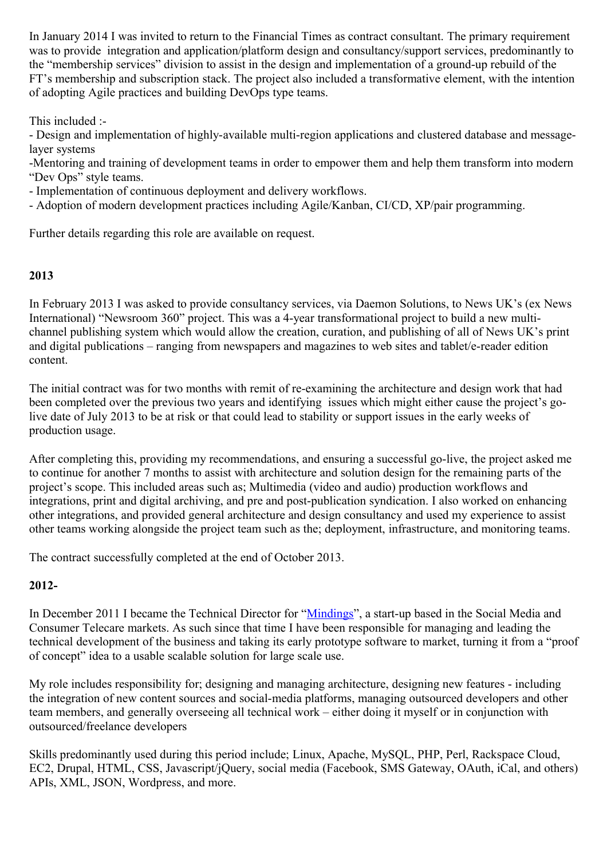In January 2014 I was invited to return to the Financial Times as contract consultant. The primary requirement was to provide integration and application/platform design and consultancy/support services, predominantly to the "membership services" division to assist in the design and implementation of a ground-up rebuild of the FT's membership and subscription stack. The project also included a transformative element, with the intention of adopting Agile practices and building DevOps type teams.

This included :-

- Design and implementation of highly-available multi-region applications and clustered database and messagelayer systems

-Mentoring and training of development teams in order to empower them and help them transform into modern "Dev Ops" style teams.

- Implementation of continuous deployment and delivery workflows.

- Adoption of modern development practices including Agile/Kanban, CI/CD, XP/pair programming.

Further details regarding this role are available on request.

### **2013**

In February 2013 I was asked to provide consultancy services, via Daemon Solutions, to News UK's (ex News International) "Newsroom 360" project. This was a 4-year transformational project to build a new multichannel publishing system which would allow the creation, curation, and publishing of all of News UK's print and digital publications – ranging from newspapers and magazines to web sites and tablet/e-reader edition content.

The initial contract was for two months with remit of re-examining the architecture and design work that had been completed over the previous two years and identifying issues which might either cause the project's golive date of July 2013 to be at risk or that could lead to stability or support issues in the early weeks of production usage.

After completing this, providing my recommendations, and ensuring a successful go-live, the project asked me to continue for another 7 months to assist with architecture and solution design for the remaining parts of the project's scope. This included areas such as; Multimedia (video and audio) production workflows and integrations, print and digital archiving, and pre and post-publication syndication. I also worked on enhancing other integrations, and provided general architecture and design consultancy and used my experience to assist other teams working alongside the project team such as the; deployment, infrastructure, and monitoring teams.

The contract successfully completed at the end of October 2013.

### **2012-**

In December 2011 I became the Technical Director for ["Mindings"](http://www.mindings.com/), a start-up based in the Social Media and Consumer Telecare markets. As such since that time I have been responsible for managing and leading the technical development of the business and taking its early prototype software to market, turning it from a "proof of concept" idea to a usable scalable solution for large scale use.

My role includes responsibility for; designing and managing architecture, designing new features - including the integration of new content sources and social-media platforms, managing outsourced developers and other team members, and generally overseeing all technical work – either doing it myself or in conjunction with outsourced/freelance developers

Skills predominantly used during this period include; Linux, Apache, MySQL, PHP, Perl, Rackspace Cloud, EC2, Drupal, HTML, CSS, Javascript/jQuery, social media (Facebook, SMS Gateway, OAuth, iCal, and others) APIs, XML, JSON, Wordpress, and more.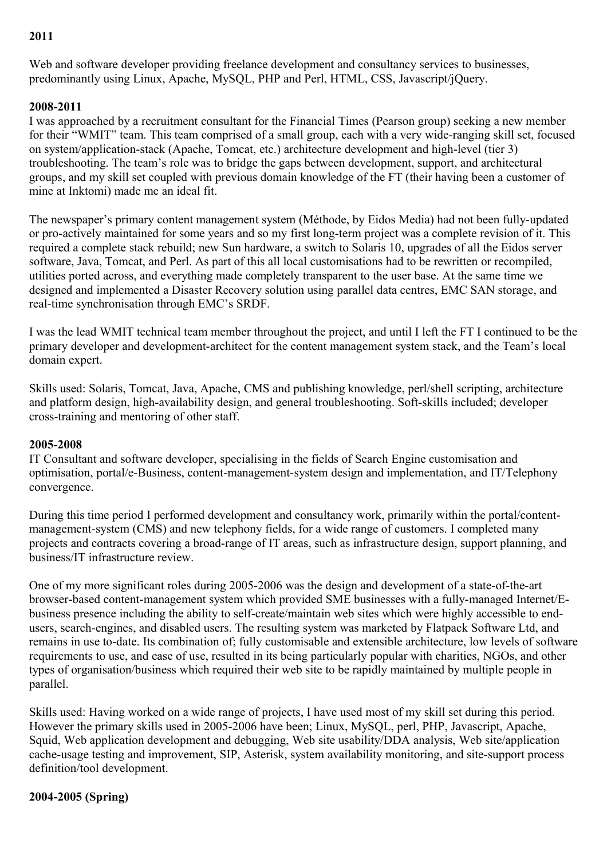### **2011**

Web and software developer providing freelance development and consultancy services to businesses, predominantly using Linux, Apache, MySQL, PHP and Perl, HTML, CSS, Javascript/jQuery.

#### **2008-2011**

I was approached by a recruitment consultant for the Financial Times (Pearson group) seeking a new member for their "WMIT" team. This team comprised of a small group, each with a very wide-ranging skill set, focused on system/application-stack (Apache, Tomcat, etc.) architecture development and high-level (tier 3) troubleshooting. The team's role was to bridge the gaps between development, support, and architectural groups, and my skill set coupled with previous domain knowledge of the FT (their having been a customer of mine at Inktomi) made me an ideal fit.

The newspaper's primary content management system (Méthode, by Eidos Media) had not been fully-updated or pro-actively maintained for some years and so my first long-term project was a complete revision of it. This required a complete stack rebuild; new Sun hardware, a switch to Solaris 10, upgrades of all the Eidos server software, Java, Tomcat, and Perl. As part of this all local customisations had to be rewritten or recompiled, utilities ported across, and everything made completely transparent to the user base. At the same time we designed and implemented a Disaster Recovery solution using parallel data centres, EMC SAN storage, and real-time synchronisation through EMC's SRDF.

I was the lead WMIT technical team member throughout the project, and until I left the FT I continued to be the primary developer and development-architect for the content management system stack, and the Team's local domain expert.

Skills used: Solaris, Tomcat, Java, Apache, CMS and publishing knowledge, perl/shell scripting, architecture and platform design, high-availability design, and general troubleshooting. Soft-skills included; developer cross-training and mentoring of other staff.

#### **2005-2008**

IT Consultant and software developer, specialising in the fields of Search Engine customisation and optimisation, portal/e-Business, content-management-system design and implementation, and IT/Telephony convergence.

During this time period I performed development and consultancy work, primarily within the portal/contentmanagement-system (CMS) and new telephony fields, for a wide range of customers. I completed many projects and contracts covering a broad-range of IT areas, such as infrastructure design, support planning, and business/IT infrastructure review.

One of my more significant roles during 2005-2006 was the design and development of a state-of-the-art browser-based content-management system which provided SME businesses with a fully-managed Internet/Ebusiness presence including the ability to self-create/maintain web sites which were highly accessible to endusers, search-engines, and disabled users. The resulting system was marketed by Flatpack Software Ltd, and remains in use to-date. Its combination of; fully customisable and extensible architecture, low levels of software requirements to use, and ease of use, resulted in its being particularly popular with charities, NGOs, and other types of organisation/business which required their web site to be rapidly maintained by multiple people in parallel.

Skills used: Having worked on a wide range of projects, I have used most of my skill set during this period. However the primary skills used in 2005-2006 have been; Linux, MySQL, perl, PHP, Javascript, Apache, Squid, Web application development and debugging, Web site usability/DDA analysis, Web site/application cache-usage testing and improvement, SIP, Asterisk, system availability monitoring, and site-support process definition/tool development.

### **2004-2005 (Spring)**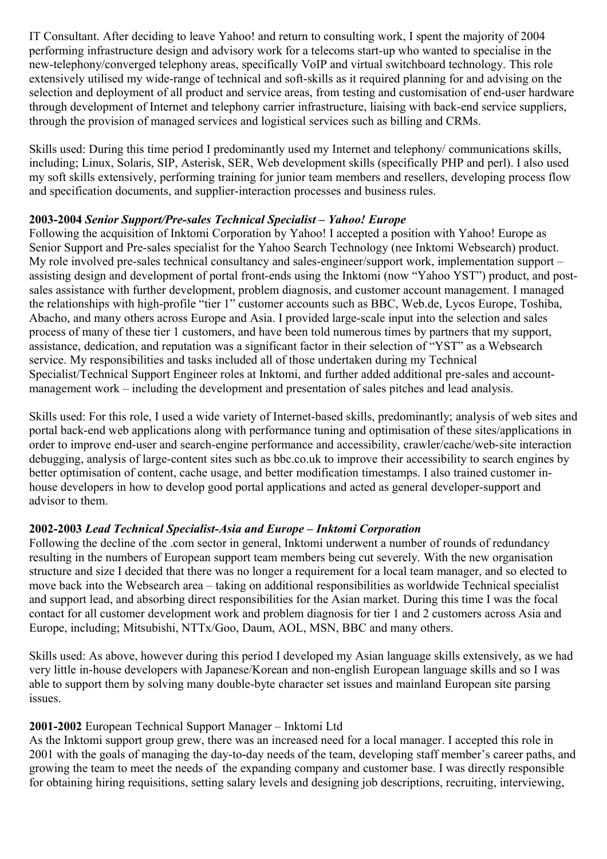IT Consultant. After deciding to leave Yahoo! and return to consulting work, I spent the majority of 2004 performing infrastructure design and advisory work for a telecoms start-up who wanted to specialise in the new-telephony/converged telephony areas, specifically VoIP and virtual switchboard technology. This role extensively utilised my wide-range of technical and soft-skills as it required planning for and advising on the selection and deployment of all product and service areas, from testing and customisation of end-user hardware through development of Internet and telephony carrier infrastructure, liaising with back-end service suppliers, through the provision of managed services and logistical services such as billing and CRMs.

Skills used: During this time period I predominantly used my Internet and telephony/ communications skills, including; Linux, Solaris, SIP, Asterisk, SER, Web development skills (specifically PHP and perl). I also used my soft skills extensively, performing training for junior team members and resellers, developing process flow and specification documents, and supplier-interaction processes and business rules.

### **2003-2004** *Senior Support/Pre-sales Technical Specialist – Yahoo! Europe*

Following the acquisition of Inktomi Corporation by Yahoo! I accepted a position with Yahoo! Europe as Senior Support and Pre-sales specialist for the Yahoo Search Technology (nee Inktomi Websearch) product. My role involved pre-sales technical consultancy and sales-engineer/support work, implementation support – assisting design and development of portal front-ends using the Inktomi (now "Yahoo YST") product, and postsales assistance with further development, problem diagnosis, and customer account management. I managed the relationships with high-profile "tier 1" customer accounts such as BBC, Web.de, Lycos Europe, Toshiba, Abacho, and many others across Europe and Asia. I provided large-scale input into the selection and sales process of many of these tier 1 customers, and have been told numerous times by partners that my support, assistance, dedication, and reputation was a significant factor in their selection of "YST" as a Websearch service. My responsibilities and tasks included all of those undertaken during my Technical Specialist/Technical Support Engineer roles at Inktomi, and further added additional pre-sales and accountmanagement work – including the development and presentation of sales pitches and lead analysis.

Skills used: For this role, I used a wide variety of Internet-based skills, predominantly; analysis of web sites and portal back-end web applications along with performance tuning and optimisation of these sites/applications in order to improve end-user and search-engine performance and accessibility, crawler/cache/web-site interaction debugging, analysis of large-content sites such as bbc.co.uk to improve their accessibility to search engines by better optimisation of content, cache usage, and better modification timestamps. I also trained customer inhouse developers in how to develop good portal applications and acted as general developer-support and advisor to them.

### **2002-2003** *Lead Technical Specialist-Asia and Europe – Inktomi Corporation*

Following the decline of the .com sector in general, Inktomi underwent a number of rounds of redundancy resulting in the numbers of European support team members being cut severely. With the new organisation structure and size I decided that there was no longer a requirement for a local team manager, and so elected to move back into the Websearch area – taking on additional responsibilities as worldwide Technical specialist and support lead, and absorbing direct responsibilities for the Asian market. During this time I was the focal contact for all customer development work and problem diagnosis for tier 1 and 2 customers across Asia and Europe, including; Mitsubishi, NTTx/Goo, Daum, AOL, MSN, BBC and many others.

Skills used: As above, however during this period I developed my Asian language skills extensively, as we had very little in-house developers with Japanese/Korean and non-english European language skills and so I was able to support them by solving many double-byte character set issues and mainland European site parsing issues.

### **2001-2002** European Technical Support Manager – Inktomi Ltd

As the Inktomi support group grew, there was an increased need for a local manager. I accepted this role in 2001 with the goals of managing the day-to-day needs of the team, developing staff member's career paths, and growing the team to meet the needs of the expanding company and customer base. I was directly responsible for obtaining hiring requisitions, setting salary levels and designing job descriptions, recruiting, interviewing,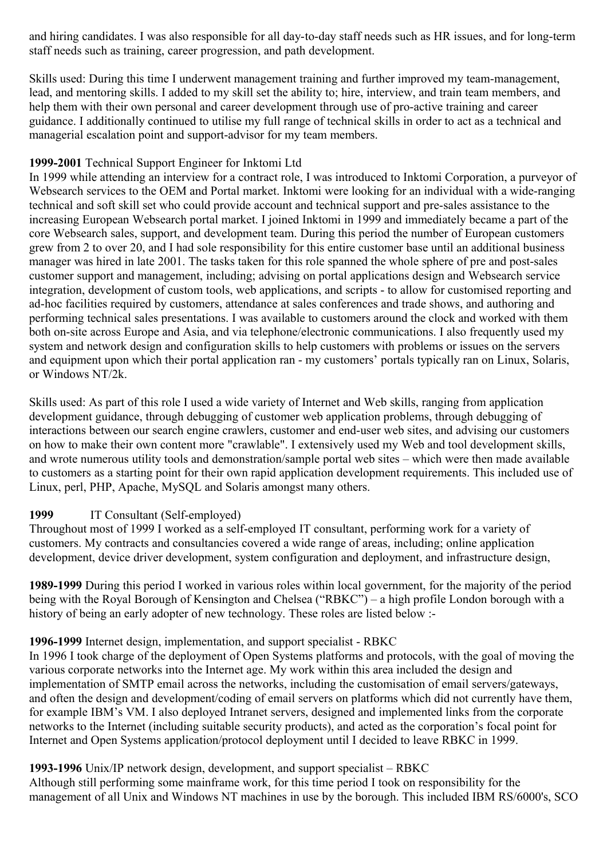and hiring candidates. I was also responsible for all day-to-day staff needs such as HR issues, and for long-term staff needs such as training, career progression, and path development.

Skills used: During this time I underwent management training and further improved my team-management, lead, and mentoring skills. I added to my skill set the ability to; hire, interview, and train team members, and help them with their own personal and career development through use of pro-active training and career guidance. I additionally continued to utilise my full range of technical skills in order to act as a technical and managerial escalation point and support-advisor for my team members.

### **1999-2001** Technical Support Engineer for Inktomi Ltd

In 1999 while attending an interview for a contract role, I was introduced to Inktomi Corporation, a purveyor of Websearch services to the OEM and Portal market. Inktomi were looking for an individual with a wide-ranging technical and soft skill set who could provide account and technical support and pre-sales assistance to the increasing European Websearch portal market. I joined Inktomi in 1999 and immediately became a part of the core Websearch sales, support, and development team. During this period the number of European customers grew from 2 to over 20, and I had sole responsibility for this entire customer base until an additional business manager was hired in late 2001. The tasks taken for this role spanned the whole sphere of pre and post-sales customer support and management, including; advising on portal applications design and Websearch service integration, development of custom tools, web applications, and scripts - to allow for customised reporting and ad-hoc facilities required by customers, attendance at sales conferences and trade shows, and authoring and performing technical sales presentations. I was available to customers around the clock and worked with them both on-site across Europe and Asia, and via telephone/electronic communications. I also frequently used my system and network design and configuration skills to help customers with problems or issues on the servers and equipment upon which their portal application ran - my customers' portals typically ran on Linux, Solaris, or Windows NT/2k.

Skills used: As part of this role I used a wide variety of Internet and Web skills, ranging from application development guidance, through debugging of customer web application problems, through debugging of interactions between our search engine crawlers, customer and end-user web sites, and advising our customers on how to make their own content more "crawlable". I extensively used my Web and tool development skills, and wrote numerous utility tools and demonstration/sample portal web sites – which were then made available to customers as a starting point for their own rapid application development requirements. This included use of Linux, perl, PHP, Apache, MySQL and Solaris amongst many others.

### **1999** IT Consultant (Self-employed)

Throughout most of 1999 I worked as a self-employed IT consultant, performing work for a variety of customers. My contracts and consultancies covered a wide range of areas, including; online application development, device driver development, system configuration and deployment, and infrastructure design,

**1989-1999** During this period I worked in various roles within local government, for the majority of the period being with the Royal Borough of Kensington and Chelsea ("RBKC") – a high profile London borough with a history of being an early adopter of new technology. These roles are listed below :-

### **1996-1999** Internet design, implementation, and support specialist - RBKC

In 1996 I took charge of the deployment of Open Systems platforms and protocols, with the goal of moving the various corporate networks into the Internet age. My work within this area included the design and implementation of SMTP email across the networks, including the customisation of email servers/gateways, and often the design and development/coding of email servers on platforms which did not currently have them, for example IBM's VM. I also deployed Intranet servers, designed and implemented links from the corporate networks to the Internet (including suitable security products), and acted as the corporation's focal point for Internet and Open Systems application/protocol deployment until I decided to leave RBKC in 1999.

### **1993-1996** Unix/IP network design, development, and support specialist – RBKC

Although still performing some mainframe work, for this time period I took on responsibility for the management of all Unix and Windows NT machines in use by the borough. This included IBM RS/6000's, SCO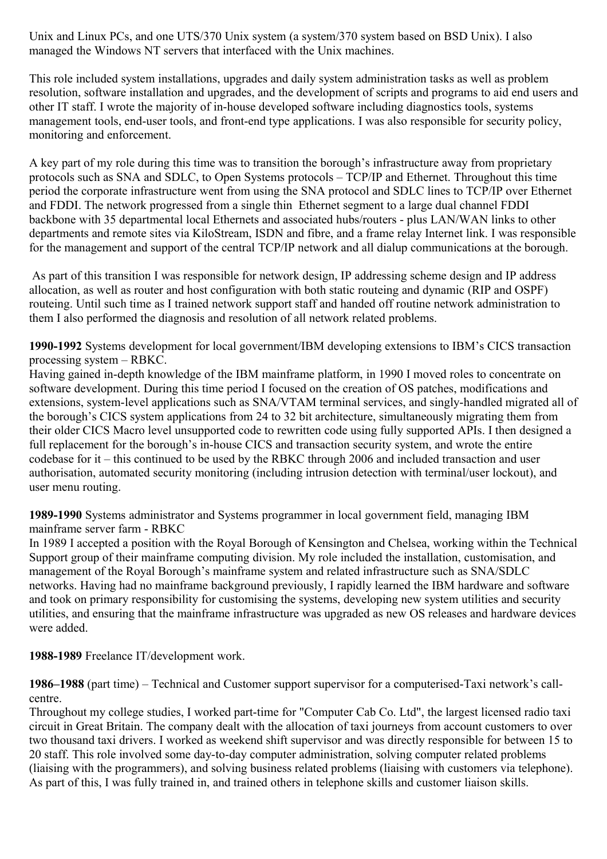Unix and Linux PCs, and one UTS/370 Unix system (a system/370 system based on BSD Unix). I also managed the Windows NT servers that interfaced with the Unix machines.

This role included system installations, upgrades and daily system administration tasks as well as problem resolution, software installation and upgrades, and the development of scripts and programs to aid end users and other IT staff. I wrote the majority of in-house developed software including diagnostics tools, systems management tools, end-user tools, and front-end type applications. I was also responsible for security policy, monitoring and enforcement.

A key part of my role during this time was to transition the borough's infrastructure away from proprietary protocols such as SNA and SDLC, to Open Systems protocols – TCP/IP and Ethernet. Throughout this time period the corporate infrastructure went from using the SNA protocol and SDLC lines to TCP/IP over Ethernet and FDDI. The network progressed from a single thin Ethernet segment to a large dual channel FDDI backbone with 35 departmental local Ethernets and associated hubs/routers - plus LAN/WAN links to other departments and remote sites via KiloStream, ISDN and fibre, and a frame relay Internet link. I was responsible for the management and support of the central TCP/IP network and all dialup communications at the borough.

 As part of this transition I was responsible for network design, IP addressing scheme design and IP address allocation, as well as router and host configuration with both static routeing and dynamic (RIP and OSPF) routeing. Until such time as I trained network support staff and handed off routine network administration to them I also performed the diagnosis and resolution of all network related problems.

**1990-1992** Systems development for local government/IBM developing extensions to IBM's CICS transaction processing system – RBKC.

Having gained in-depth knowledge of the IBM mainframe platform, in 1990 I moved roles to concentrate on software development. During this time period I focused on the creation of OS patches, modifications and extensions, system-level applications such as SNA/VTAM terminal services, and singly-handled migrated all of the borough's CICS system applications from 24 to 32 bit architecture, simultaneously migrating them from their older CICS Macro level unsupported code to rewritten code using fully supported APIs. I then designed a full replacement for the borough's in-house CICS and transaction security system, and wrote the entire codebase for it – this continued to be used by the RBKC through 2006 and included transaction and user authorisation, automated security monitoring (including intrusion detection with terminal/user lockout), and user menu routing.

**1989-1990** Systems administrator and Systems programmer in local government field, managing IBM mainframe server farm - RBKC

In 1989 I accepted a position with the Royal Borough of Kensington and Chelsea, working within the Technical Support group of their mainframe computing division. My role included the installation, customisation, and management of the Royal Borough's mainframe system and related infrastructure such as SNA/SDLC networks. Having had no mainframe background previously, I rapidly learned the IBM hardware and software and took on primary responsibility for customising the systems, developing new system utilities and security utilities, and ensuring that the mainframe infrastructure was upgraded as new OS releases and hardware devices were added.

**1988-1989** Freelance IT/development work.

**1986–1988** (part time) – Technical and Customer support supervisor for a computerised-Taxi network's callcentre.

Throughout my college studies, I worked part-time for "Computer Cab Co. Ltd", the largest licensed radio taxi circuit in Great Britain. The company dealt with the allocation of taxi journeys from account customers to over two thousand taxi drivers. I worked as weekend shift supervisor and was directly responsible for between 15 to 20 staff. This role involved some day-to-day computer administration, solving computer related problems (liaising with the programmers), and solving business related problems (liaising with customers via telephone). As part of this, I was fully trained in, and trained others in telephone skills and customer liaison skills.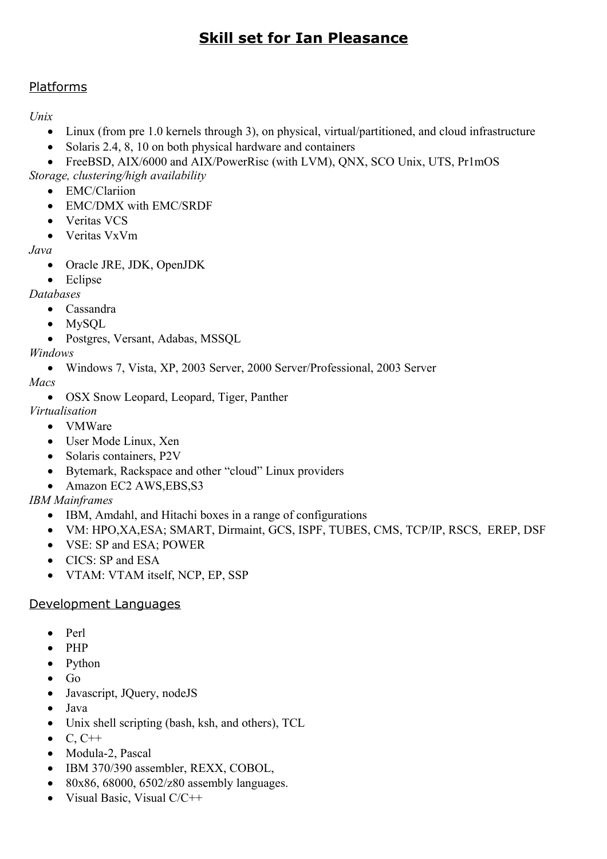# **Skill set for Ian Pleasance**

# Platforms

*Unix*

- Linux (from pre 1.0 kernels through 3), on physical, virtual/partitioned, and cloud infrastructure
- Solaris 2.4, 8, 10 on both physical hardware and containers
- FreeBSD, AIX/6000 and AIX/PowerRisc (with LVM), QNX, SCO Unix, UTS, Pr1mOS
- *Storage, clustering/high availability*
	- EMC/Clariion
	- EMC/DMX with EMC/SRDF
	- Veritas VCS
	- Veritas VxVm

*Java*

- Oracle JRE, JDK, OpenJDK
- Eclipse

*Databases*

- Cassandra
- MySQL
- Postgres, Versant, Adabas, MSSQL

## *Windows*

Windows 7, Vista, XP, 2003 Server, 2000 Server/Professional, 2003 Server

*Macs*

• OSX Snow Leopard, Leopard, Tiger, Panther

*Virtualisation*

- VMWare
- User Mode Linux, Xen
- Solaris containers, P2V
- Bytemark, Rackspace and other "cloud" Linux providers
- Amazon EC2 AWS, EBS, S3

# *IBM Mainframes*

- IBM, Amdahl, and Hitachi boxes in a range of configurations
- VM: HPO,XA,ESA; SMART, Dirmaint, GCS, ISPF, TUBES, CMS, TCP/IP, RSCS, EREP, DSF
- VSE: SP and ESA; POWER
- CICS: SP and ESA
- VTAM: VTAM itself, NCP, EP, SSP

# Development Languages

- Perl
- $\bullet$  PHP
- Python
- $\bullet$  Go
- Javascript, JQuery, nodeJS
- Java
- Unix shell scripting (bash, ksh, and others), TCL
- $\bullet$  C, C++
- Modula-2, Pascal
- IBM 370/390 assembler, REXX, COBOL,
- $\cdot$  80x86, 68000, 6502/z80 assembly languages.
- Visual Basic, Visual C/C++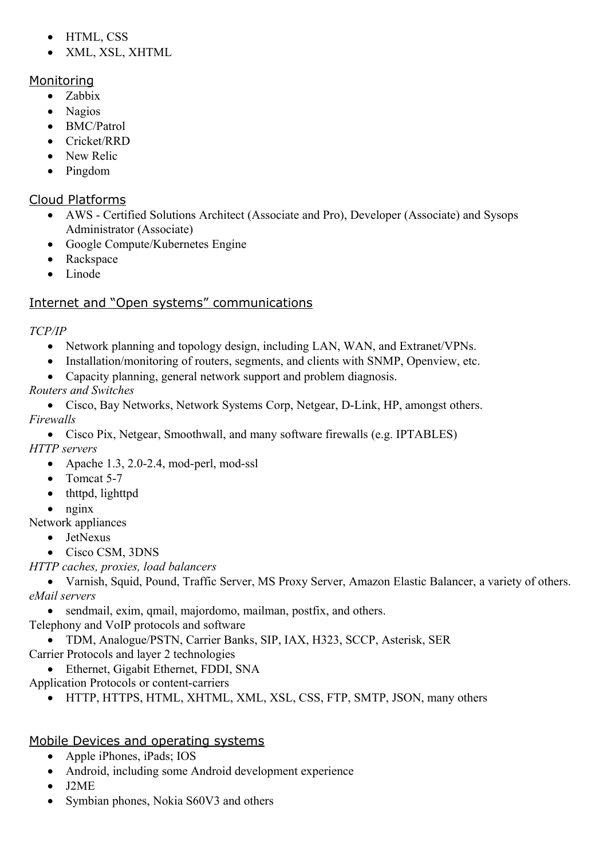- HTML, CSS
- XML, XSL, XHTML

# Monitoring

- Zabbix
- Nagios
- BMC/Patrol
- Cricket/RRD
- New Relic
- Pingdom

# Cloud Platforms

- AWS Certified Solutions Architect (Associate and Pro), Developer (Associate) and Sysops Administrator (Associate)
- Google Compute/Kubernetes Engine
- Rackspace
- Linode

# Internet and "Open systems" communications

# *TCP/IP*

- Network planning and topology design, including LAN, WAN, and Extranet/VPNs.
- Installation/monitoring of routers, segments, and clients with SNMP, Openview, etc.
- Capacity planning, general network support and problem diagnosis.
- *Routers and Switches*

 Cisco, Bay Networks, Network Systems Corp, Netgear, D-Link, HP, amongst others. *Firewalls*

Cisco Pix, Netgear, Smoothwall, and many software firewalls (e.g. IPTABLES)

*HTTP servers*

- Apache 1.3, 2.0-2.4, mod-perl, mod-ssl
- $\bullet$  Tomcat 5-7
- thttpd, lighttpd
- nginx

Network appliances

- JetNexus
- Cisco CSM, 3DNS

*HTTP caches, proxies, load balancers*

 Varnish, Squid, Pound, Traffic Server, MS Proxy Server, Amazon Elastic Balancer, a variety of others. *eMail servers*

sendmail, exim, qmail, majordomo, mailman, postfix, and others.

Telephony and VoIP protocols and software

 TDM, Analogue/PSTN, Carrier Banks, SIP, IAX, H323, SCCP, Asterisk, SER Carrier Protocols and layer 2 technologies

Ethernet, Gigabit Ethernet, FDDI, SNA

Application Protocols or content-carriers

HTTP, HTTPS, HTML, XHTML, XML, XSL, CSS, FTP, SMTP, JSON, many others

# Mobile Devices and operating systems

- Apple iPhones, iPads; IOS
- Android, including some Android development experience
- J2ME
- Symbian phones, Nokia S60V3 and others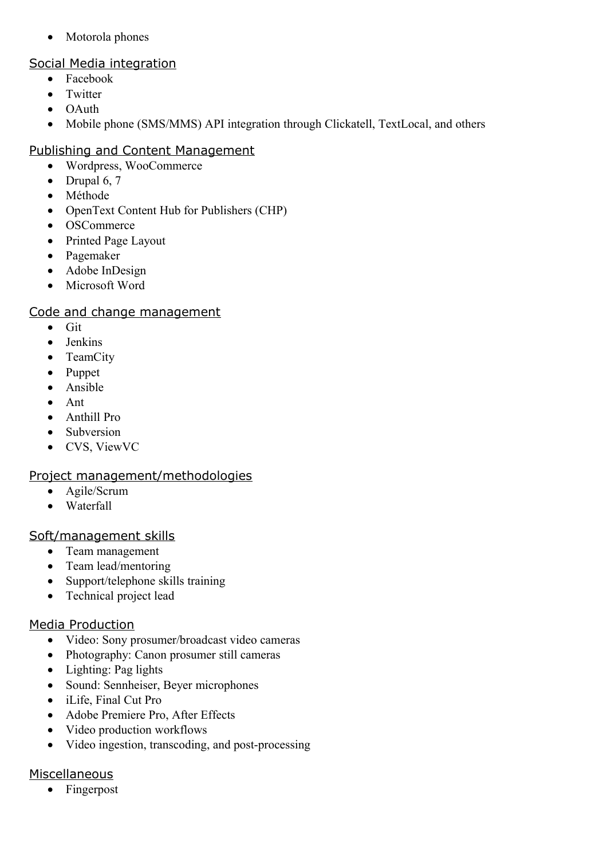• Motorola phones

## Social Media integration

- Facebook
- Twitter
- OAuth
- Mobile phone (SMS/MMS) API integration through Clickatell, TextLocal, and others

# Publishing and Content Management

- Wordpress, WooCommerce
- $\bullet$  Drupal 6, 7
- Méthode
- OpenText Content Hub for Publishers (CHP)
- OSCommerce
- Printed Page Layout
- Pagemaker
- Adobe InDesign
- Microsoft Word

## Code and change management

- $\bullet$  Git
- Jenkins
- TeamCity
- Puppet
- Ansible
- Ant
- Anthill Pro
- Subversion
- CVS, ViewVC

# Project management/methodologies

- Agile/Scrum
- Waterfall

# Soft/management skills

- Team management
- Team lead/mentoring
- Support/telephone skills training
- Technical project lead

# Media Production

- Video: Sony prosumer/broadcast video cameras
- Photography: Canon prosumer still cameras
- Lighting: Pag lights
- Sound: Sennheiser, Beyer microphones
- iLife, Final Cut Pro
- Adobe Premiere Pro, After Effects
- Video production workflows
- Video ingestion, transcoding, and post-processing

# **Miscellaneous**

• Fingerpost